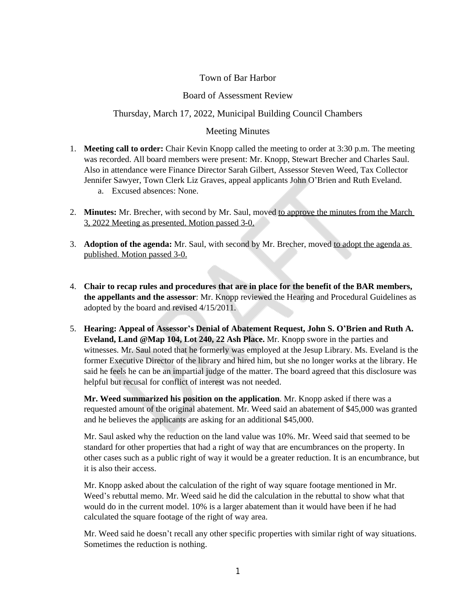# Town of Bar Harbor

## Board of Assessment Review

## Thursday, March 17, 2022, Municipal Building Council Chambers

## Meeting Minutes

- 1. **Meeting call to order:** Chair Kevin Knopp called the meeting to order at 3:30 p.m. The meeting was recorded. All board members were present: Mr. Knopp, Stewart Brecher and Charles Saul. Also in attendance were Finance Director Sarah Gilbert, Assessor Steven Weed, Tax Collector Jennifer Sawyer, Town Clerk Liz Graves, appeal applicants John O'Brien and Ruth Eveland.
	- a. Excused absences: None.
- 2. **Minutes:** Mr. Brecher, with second by Mr. Saul, moved to approve the minutes from the March 3, 2022 Meeting as presented. Motion passed 3-0.
- 3. **Adoption of the agenda:** Mr. Saul, with second by Mr. Brecher, moved to adopt the agenda as published. Motion passed 3-0.
- 4. **Chair to recap rules and procedures that are in place for the benefit of the BAR members, the appellants and the assessor**: Mr. Knopp reviewed the Hearing and Procedural Guidelines as adopted by the board and revised 4/15/2011.
- 5. **Hearing: Appeal of Assessor's Denial of Abatement Request, John S. O'Brien and Ruth A. Eveland, Land @Map 104, Lot 240, 22 Ash Place.** Mr. Knopp swore in the parties and witnesses. Mr. Saul noted that he formerly was employed at the Jesup Library. Ms. Eveland is the former Executive Director of the library and hired him, but she no longer works at the library. He said he feels he can be an impartial judge of the matter. The board agreed that this disclosure was helpful but recusal for conflict of interest was not needed.

**Mr. Weed summarized his position on the application**. Mr. Knopp asked if there was a requested amount of the original abatement. Mr. Weed said an abatement of \$45,000 was granted and he believes the applicants are asking for an additional \$45,000.

Mr. Saul asked why the reduction on the land value was 10%. Mr. Weed said that seemed to be standard for other properties that had a right of way that are encumbrances on the property. In other cases such as a public right of way it would be a greater reduction. It is an encumbrance, but it is also their access.

Mr. Knopp asked about the calculation of the right of way square footage mentioned in Mr. Weed's rebuttal memo. Mr. Weed said he did the calculation in the rebuttal to show what that would do in the current model. 10% is a larger abatement than it would have been if he had calculated the square footage of the right of way area.

Mr. Weed said he doesn't recall any other specific properties with similar right of way situations. Sometimes the reduction is nothing.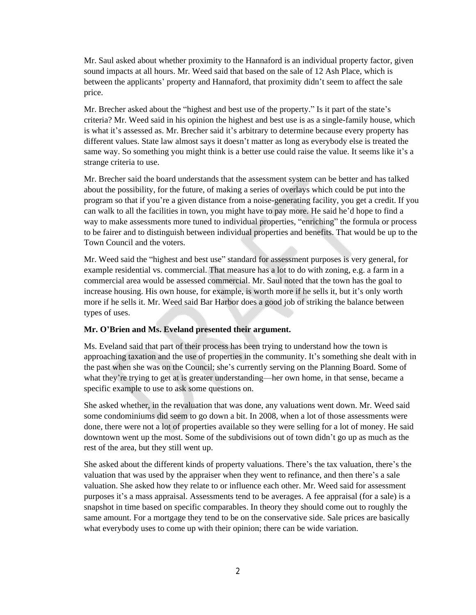Mr. Saul asked about whether proximity to the Hannaford is an individual property factor, given sound impacts at all hours. Mr. Weed said that based on the sale of 12 Ash Place, which is between the applicants' property and Hannaford, that proximity didn't seem to affect the sale price.

Mr. Brecher asked about the "highest and best use of the property." Is it part of the state's criteria? Mr. Weed said in his opinion the highest and best use is as a single-family house, which is what it's assessed as. Mr. Brecher said it's arbitrary to determine because every property has different values. State law almost says it doesn't matter as long as everybody else is treated the same way. So something you might think is a better use could raise the value. It seems like it's a strange criteria to use.

Mr. Brecher said the board understands that the assessment system can be better and has talked about the possibility, for the future, of making a series of overlays which could be put into the program so that if you're a given distance from a noise-generating facility, you get a credit. If you can walk to all the facilities in town, you might have to pay more. He said he'd hope to find a way to make assessments more tuned to individual properties, "enriching" the formula or process to be fairer and to distinguish between individual properties and benefits. That would be up to the Town Council and the voters.

Mr. Weed said the "highest and best use" standard for assessment purposes is very general, for example residential vs. commercial. That measure has a lot to do with zoning, e.g. a farm in a commercial area would be assessed commercial. Mr. Saul noted that the town has the goal to increase housing. His own house, for example, is worth more if he sells it, but it's only worth more if he sells it. Mr. Weed said Bar Harbor does a good job of striking the balance between types of uses.

#### **Mr. O'Brien and Ms. Eveland presented their argument.**

Ms. Eveland said that part of their process has been trying to understand how the town is approaching taxation and the use of properties in the community. It's something she dealt with in the past when she was on the Council; she's currently serving on the Planning Board. Some of what they're trying to get at is greater understanding—her own home, in that sense, became a specific example to use to ask some questions on.

She asked whether, in the revaluation that was done, any valuations went down. Mr. Weed said some condominiums did seem to go down a bit. In 2008, when a lot of those assessments were done, there were not a lot of properties available so they were selling for a lot of money. He said downtown went up the most. Some of the subdivisions out of town didn't go up as much as the rest of the area, but they still went up.

She asked about the different kinds of property valuations. There's the tax valuation, there's the valuation that was used by the appraiser when they went to refinance, and then there's a sale valuation. She asked how they relate to or influence each other. Mr. Weed said for assessment purposes it's a mass appraisal. Assessments tend to be averages. A fee appraisal (for a sale) is a snapshot in time based on specific comparables. In theory they should come out to roughly the same amount. For a mortgage they tend to be on the conservative side. Sale prices are basically what everybody uses to come up with their opinion; there can be wide variation.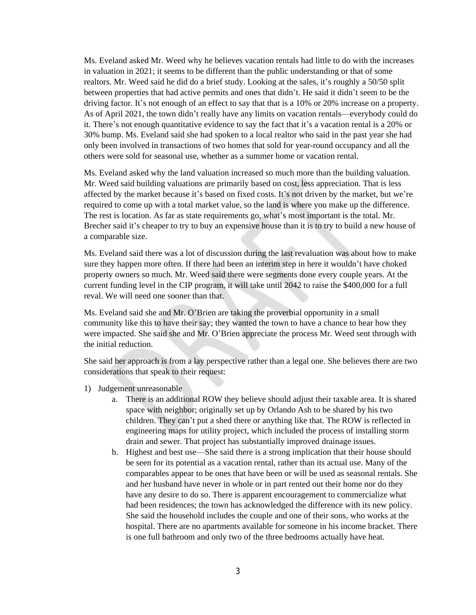Ms. Eveland asked Mr. Weed why he believes vacation rentals had little to do with the increases in valuation in 2021; it seems to be different than the public understanding or that of some realtors. Mr. Weed said he did do a brief study. Looking at the sales, it's roughly a 50/50 split between properties that had active permits and ones that didn't. He said it didn't seem to be the driving factor. It's not enough of an effect to say that that is a 10% or 20% increase on a property. As of April 2021, the town didn't really have any limits on vacation rentals—everybody could do it. There's not enough quantitative evidence to say the fact that it's a vacation rental is a 20% or 30% bump. Ms. Eveland said she had spoken to a local realtor who said in the past year she had only been involved in transactions of two homes that sold for year-round occupancy and all the others were sold for seasonal use, whether as a summer home or vacation rental.

Ms. Eveland asked why the land valuation increased so much more than the building valuation. Mr. Weed said building valuations are primarily based on cost, less appreciation. That is less affected by the market because it's based on fixed costs. It's not driven by the market, but we're required to come up with a total market value, so the land is where you make up the difference. The rest is location. As far as state requirements go, what's most important is the total. Mr. Brecher said it's cheaper to try to buy an expensive house than it is to try to build a new house of a comparable size.

Ms. Eveland said there was a lot of discussion during the last revaluation was about how to make sure they happen more often. If there had been an interim step in here it wouldn't have choked property owners so much. Mr. Weed said there were segments done every couple years. At the current funding level in the CIP program, it will take until 2042 to raise the \$400,000 for a full reval. We will need one sooner than that.

Ms. Eveland said she and Mr. O'Brien are taking the proverbial opportunity in a small community like this to have their say; they wanted the town to have a chance to hear how they were impacted. She said she and Mr. O'Brien appreciate the process Mr. Weed sent through with the initial reduction.

She said her approach is from a lay perspective rather than a legal one. She believes there are two considerations that speak to their request:

- 1) Judgement unreasonable
	- a. There is an additional ROW they believe should adjust their taxable area. It is shared space with neighbor; originally set up by Orlando Ash to be shared by his two children. They can't put a shed there or anything like that. The ROW is reflected in engineering maps for utility project, which included the process of installing storm drain and sewer. That project has substantially improved drainage issues.
	- b. Highest and best use—She said there is a strong implication that their house should be seen for its potential as a vacation rental, rather than its actual use. Many of the comparables appear to be ones that have been or will be used as seasonal rentals. She and her husband have never in whole or in part rented out their home nor do they have any desire to do so. There is apparent encouragement to commercialize what had been residences; the town has acknowledged the difference with its new policy. She said the household includes the couple and one of their sons, who works at the hospital. There are no apartments available for someone in his income bracket. There is one full bathroom and only two of the three bedrooms actually have heat.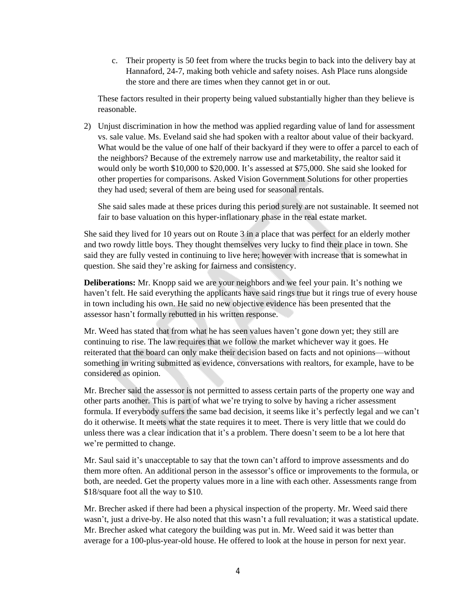c. Their property is 50 feet from where the trucks begin to back into the delivery bay at Hannaford, 24-7, making both vehicle and safety noises. Ash Place runs alongside the store and there are times when they cannot get in or out.

These factors resulted in their property being valued substantially higher than they believe is reasonable.

2) Unjust discrimination in how the method was applied regarding value of land for assessment vs. sale value. Ms. Eveland said she had spoken with a realtor about value of their backyard. What would be the value of one half of their backyard if they were to offer a parcel to each of the neighbors? Because of the extremely narrow use and marketability, the realtor said it would only be worth \$10,000 to \$20,000. It's assessed at \$75,000. She said she looked for other properties for comparisons. Asked Vision Government Solutions for other properties they had used; several of them are being used for seasonal rentals.

She said sales made at these prices during this period surely are not sustainable. It seemed not fair to base valuation on this hyper-inflationary phase in the real estate market.

She said they lived for 10 years out on Route 3 in a place that was perfect for an elderly mother and two rowdy little boys. They thought themselves very lucky to find their place in town. She said they are fully vested in continuing to live here; however with increase that is somewhat in question. She said they're asking for fairness and consistency.

**Deliberations:** Mr. Knopp said we are your neighbors and we feel your pain. It's nothing we haven't felt. He said everything the applicants have said rings true but it rings true of every house in town including his own. He said no new objective evidence has been presented that the assessor hasn't formally rebutted in his written response.

Mr. Weed has stated that from what he has seen values haven't gone down yet; they still are continuing to rise. The law requires that we follow the market whichever way it goes. He reiterated that the board can only make their decision based on facts and not opinions—without something in writing submitted as evidence, conversations with realtors, for example, have to be considered as opinion.

Mr. Brecher said the assessor is not permitted to assess certain parts of the property one way and other parts another. This is part of what we're trying to solve by having a richer assessment formula. If everybody suffers the same bad decision, it seems like it's perfectly legal and we can't do it otherwise. It meets what the state requires it to meet. There is very little that we could do unless there was a clear indication that it's a problem. There doesn't seem to be a lot here that we're permitted to change.

Mr. Saul said it's unacceptable to say that the town can't afford to improve assessments and do them more often. An additional person in the assessor's office or improvements to the formula, or both, are needed. Get the property values more in a line with each other. Assessments range from \$18/square foot all the way to \$10.

Mr. Brecher asked if there had been a physical inspection of the property. Mr. Weed said there wasn't, just a drive-by. He also noted that this wasn't a full revaluation; it was a statistical update. Mr. Brecher asked what category the building was put in. Mr. Weed said it was better than average for a 100-plus-year-old house. He offered to look at the house in person for next year.